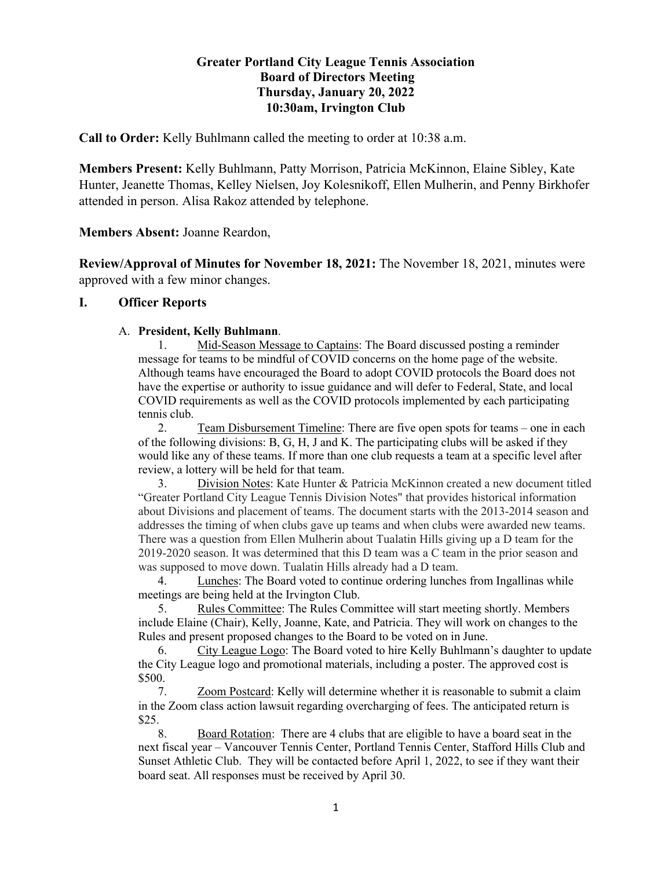# **Greater Portland City League Tennis Association Board of Directors Meeting Thursday, January 20, 2022 10:30am, Irvington Club**

**Call to Order:** Kelly Buhlmann called the meeting to order at 10:38 a.m.

**Members Present:** Kelly Buhlmann, Patty Morrison, Patricia McKinnon, Elaine Sibley, Kate Hunter, Jeanette Thomas, Kelley Nielsen, Joy Kolesnikoff, Ellen Mulherin, and Penny Birkhofer attended in person. Alisa Rakoz attended by telephone.

**Members Absent:** Joanne Reardon,

**Review/Approval of Minutes for November 18, 2021:** The November 18, 2021, minutes were approved with a few minor changes.

# **I. Officer Reports**

## A. **President, Kelly Buhlmann**.

1. Mid-Season Message to Captains: The Board discussed posting a reminder message for teams to be mindful of COVID concerns on the home page of the website. Although teams have encouraged the Board to adopt COVID protocols the Board does not have the expertise or authority to issue guidance and will defer to Federal, State, and local COVID requirements as well as the COVID protocols implemented by each participating tennis club.

2. Team Disbursement Timeline: There are five open spots for teams – one in each of the following divisions: B, G, H, J and K. The participating clubs will be asked if they would like any of these teams. If more than one club requests a team at a specific level after review, a lottery will be held for that team.

3. Division Notes: Kate Hunter & Patricia McKinnon created a new document titled "Greater Portland City League Tennis Division Notes" that provides historical information about Divisions and placement of teams. The document starts with the 2013-2014 season and addresses the timing of when clubs gave up teams and when clubs were awarded new teams. There was a question from Ellen Mulherin about Tualatin Hills giving up a D team for the 2019-2020 season. It was determined that this D team was a C team in the prior season and was supposed to move down. Tualatin Hills already had a D team.

4. Lunches: The Board voted to continue ordering lunches from Ingallinas while meetings are being held at the Irvington Club.

5. Rules Committee: The Rules Committee will start meeting shortly. Members include Elaine (Chair), Kelly, Joanne, Kate, and Patricia. They will work on changes to the Rules and present proposed changes to the Board to be voted on in June.

6. City League Logo: The Board voted to hire Kelly Buhlmann's daughter to update the City League logo and promotional materials, including a poster. The approved cost is \$500.

7. Zoom Postcard: Kelly will determine whether it is reasonable to submit a claim in the Zoom class action lawsuit regarding overcharging of fees. The anticipated return is \$25.

8. Board Rotation: There are 4 clubs that are eligible to have a board seat in the next fiscal year – Vancouver Tennis Center, Portland Tennis Center, Stafford Hills Club and Sunset Athletic Club. They will be contacted before April 1, 2022, to see if they want their board seat. All responses must be received by April 30.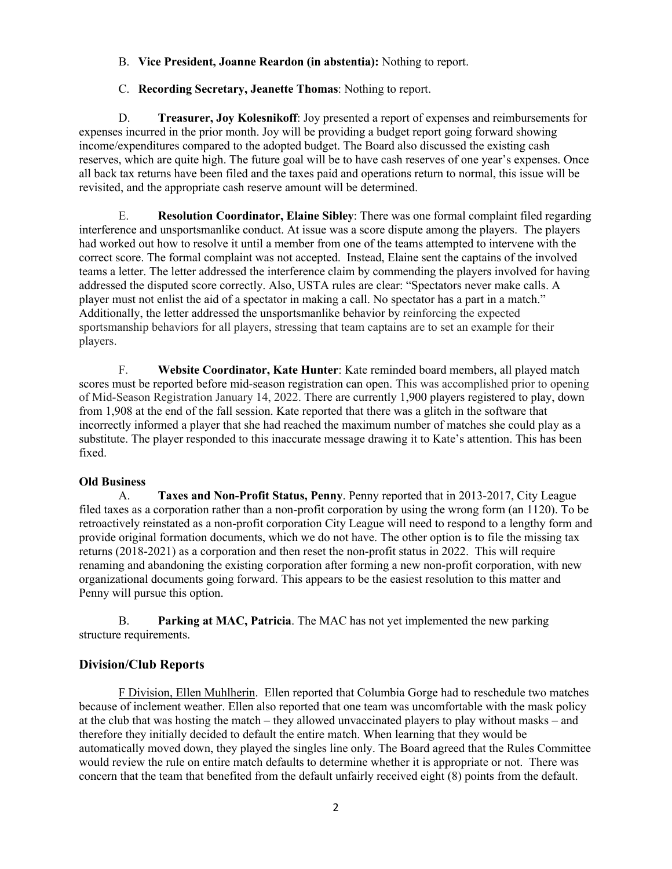### B. **Vice President, Joanne Reardon (in abstentia):** Nothing to report.

### C. **Recording Secretary, Jeanette Thomas**: Nothing to report.

D. **Treasurer, Joy Kolesnikoff**: Joy presented a report of expenses and reimbursements for expenses incurred in the prior month. Joy will be providing a budget report going forward showing income/expenditures compared to the adopted budget. The Board also discussed the existing cash reserves, which are quite high. The future goal will be to have cash reserves of one year's expenses. Once all back tax returns have been filed and the taxes paid and operations return to normal, this issue will be revisited, and the appropriate cash reserve amount will be determined.

E. **Resolution Coordinator, Elaine Sibley**: There was one formal complaint filed regarding interference and unsportsmanlike conduct. At issue was a score dispute among the players. The players had worked out how to resolve it until a member from one of the teams attempted to intervene with the correct score. The formal complaint was not accepted. Instead, Elaine sent the captains of the involved teams a letter. The letter addressed the interference claim by commending the players involved for having addressed the disputed score correctly. Also, USTA rules are clear: "Spectators never make calls. A player must not enlist the aid of a spectator in making a call. No spectator has a part in a match." Additionally, the letter addressed the unsportsmanlike behavior by reinforcing the expected sportsmanship behaviors for all players, stressing that team captains are to set an example for their players.

F. **Website Coordinator, Kate Hunter**: Kate reminded board members, all played match scores must be reported before mid-season registration can open. This was accomplished prior to opening of Mid-Season Registration January 14, 2022. There are currently 1,900 players registered to play, down from 1,908 at the end of the fall session. Kate reported that there was a glitch in the software that incorrectly informed a player that she had reached the maximum number of matches she could play as a substitute. The player responded to this inaccurate message drawing it to Kate's attention. This has been fixed.

#### **Old Business**

A. **Taxes and Non-Profit Status, Penny**. Penny reported that in 2013-2017, City League filed taxes as a corporation rather than a non-profit corporation by using the wrong form (an 1120). To be retroactively reinstated as a non-profit corporation City League will need to respond to a lengthy form and provide original formation documents, which we do not have. The other option is to file the missing tax returns (2018-2021) as a corporation and then reset the non-profit status in 2022. This will require renaming and abandoning the existing corporation after forming a new non-profit corporation, with new organizational documents going forward. This appears to be the easiest resolution to this matter and Penny will pursue this option.

B. **Parking at MAC, Patricia**. The MAC has not yet implemented the new parking structure requirements.

# **Division/Club Reports**

F Division, Ellen Muhlherin. Ellen reported that Columbia Gorge had to reschedule two matches because of inclement weather. Ellen also reported that one team was uncomfortable with the mask policy at the club that was hosting the match – they allowed unvaccinated players to play without masks – and therefore they initially decided to default the entire match. When learning that they would be automatically moved down, they played the singles line only. The Board agreed that the Rules Committee would review the rule on entire match defaults to determine whether it is appropriate or not. There was concern that the team that benefited from the default unfairly received eight (8) points from the default.